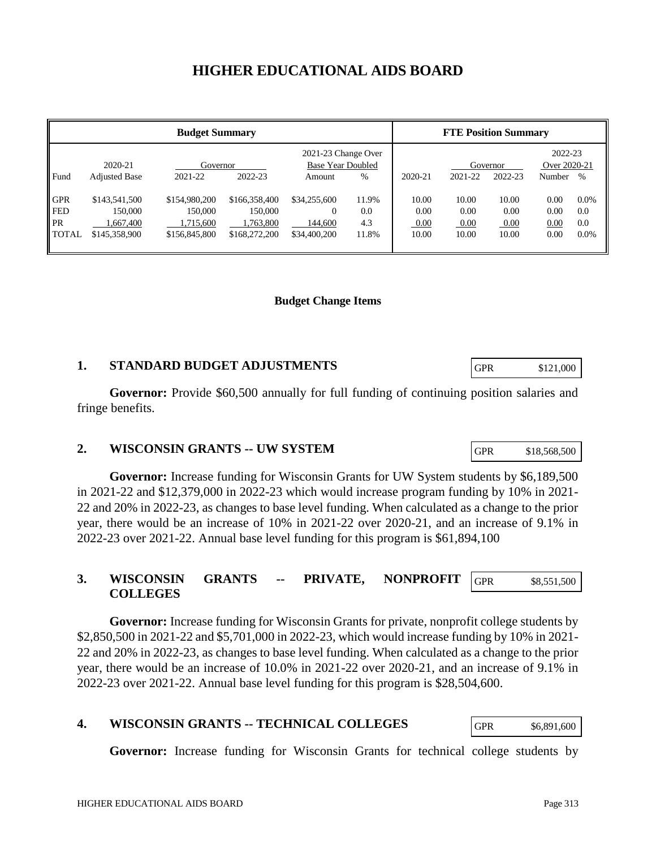# **HIGHER EDUCATIONAL AIDS BOARD**

| <b>Budget Summary</b>                          |                                                        |                                                        |                                                        |                                                         |                              | <b>FTE Position Summary</b>    |                                |                                |                                   |                                  |
|------------------------------------------------|--------------------------------------------------------|--------------------------------------------------------|--------------------------------------------------------|---------------------------------------------------------|------------------------------|--------------------------------|--------------------------------|--------------------------------|-----------------------------------|----------------------------------|
| Fund                                           | 2020-21<br><b>Adjusted Base</b>                        | Governor<br>2021-22                                    | 2022-23                                                | 2021-23 Change Over<br>Base Year Doubled<br>Amount      | %                            | 2020-21                        | 2021-22                        | Governor<br>2022-23            | 2022-23<br>Over 2020-21<br>Number | $\%$                             |
| <b>GPR</b><br><b>FED</b><br>PR<br><b>TOTAL</b> | \$143,541,500<br>150,000<br>1.667.400<br>\$145,358,900 | \$154,980,200<br>150,000<br>1,715,600<br>\$156,845,800 | \$166,358,400<br>150,000<br>1.763.800<br>\$168,272,200 | \$34,255,600<br>$\mathbf{0}$<br>144,600<br>\$34,400,200 | 11.9%<br>0.0<br>4.3<br>11.8% | 10.00<br>0.00<br>0.00<br>10.00 | 10.00<br>0.00<br>0.00<br>10.00 | 10.00<br>0.00<br>0.00<br>10.00 | 0.00<br>0.00<br>0.00<br>0.00      | $0.0\%$<br>0.0<br>0.0<br>$0.0\%$ |

#### **Budget Change Items**

### **1. STANDARD BUDGET ADJUSTMENTS**

**Governor:** Provide \$60,500 annually for full funding of continuing position salaries and fringe benefits.

#### **2. WISCONSIN GRANTS -- UW SYSTEM**

**Governor:** Increase funding for Wisconsin Grants for UW System students by \$6,189,500 in 2021-22 and \$12,379,000 in 2022-23 which would increase program funding by 10% in 2021- 22 and 20% in 2022-23, as changes to base level funding. When calculated as a change to the prior year, there would be an increase of 10% in 2021-22 over 2020-21, and an increase of 9.1% in 2022-23 over 2021-22. Annual base level funding for this program is \$61,894,100

#### **3. WISCONSIN GRANTS -- PRIVATE, NONPROFIT COLLEGES** GPR \$8,551,500

**Governor:** Increase funding for Wisconsin Grants for private, nonprofit college students by \$2,850,500 in 2021-22 and \$5,701,000 in 2022-23, which would increase funding by 10% in 2021- 22 and 20% in 2022-23, as changes to base level funding. When calculated as a change to the prior year, there would be an increase of 10.0% in 2021-22 over 2020-21, and an increase of 9.1% in 2022-23 over 2021-22. Annual base level funding for this program is \$28,504,600.

### **4. WISCONSIN GRANTS -- TECHNICAL COLLEGES**

**Governor:** Increase funding for Wisconsin Grants for technical college students by

GPR \$121,000

GPR \$18,568,500

GPR \$6,891,600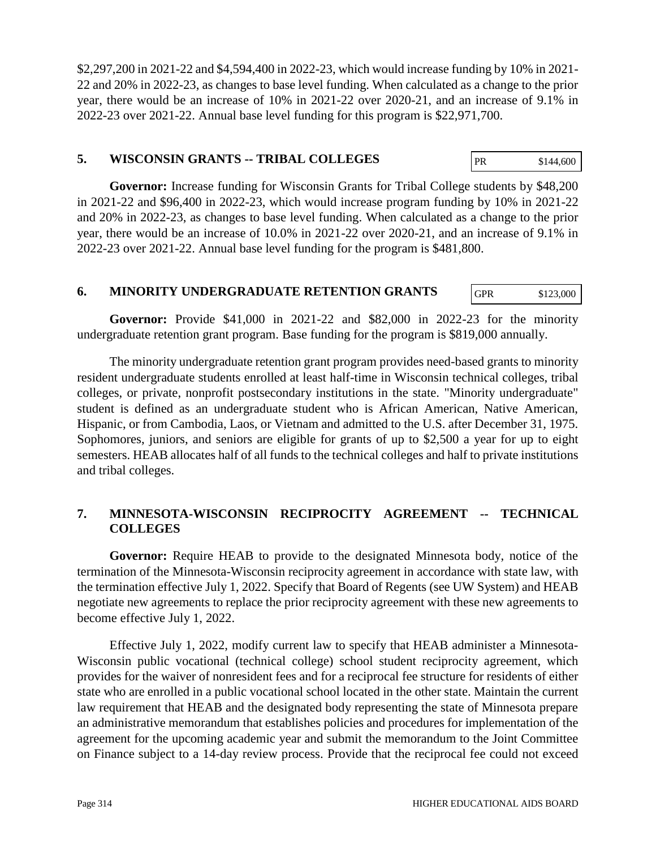\$2,297,200 in 2021-22 and \$4,594,400 in 2022-23, which would increase funding by 10% in 2021- 22 and 20% in 2022-23, as changes to base level funding. When calculated as a change to the prior year, there would be an increase of 10% in 2021-22 over 2020-21, and an increase of 9.1% in 2022-23 over 2021-22. Annual base level funding for this program is \$22,971,700.

#### **5. WISCONSIN GRANTS -- TRIBAL COLLEGES** PR \$144,600

**Governor:** Increase funding for Wisconsin Grants for Tribal College students by \$48,200 in 2021-22 and \$96,400 in 2022-23, which would increase program funding by 10% in 2021-22 and 20% in 2022-23, as changes to base level funding. When calculated as a change to the prior year, there would be an increase of 10.0% in 2021-22 over 2020-21, and an increase of 9.1% in 2022-23 over 2021-22. Annual base level funding for the program is \$481,800.

### **6. MINORITY UNDERGRADUATE RETENTION GRANTS**

**Governor:** Provide \$41,000 in 2021-22 and \$82,000 in 2022-23 for the minority undergraduate retention grant program. Base funding for the program is \$819,000 annually.

The minority undergraduate retention grant program provides need-based grants to minority resident undergraduate students enrolled at least half-time in Wisconsin technical colleges, tribal colleges, or private, nonprofit postsecondary institutions in the state. "Minority undergraduate" student is defined as an undergraduate student who is African American, Native American, Hispanic, or from Cambodia, Laos, or Vietnam and admitted to the U.S. after December 31, 1975. Sophomores, juniors, and seniors are eligible for grants of up to \$2,500 a year for up to eight semesters. HEAB allocates half of all funds to the technical colleges and half to private institutions and tribal colleges.

## **7. MINNESOTA-WISCONSIN RECIPROCITY AGREEMENT -- TECHNICAL COLLEGES**

**Governor:** Require HEAB to provide to the designated Minnesota body, notice of the termination of the Minnesota-Wisconsin reciprocity agreement in accordance with state law, with the termination effective July 1, 2022. Specify that Board of Regents (see UW System) and HEAB negotiate new agreements to replace the prior reciprocity agreement with these new agreements to become effective July 1, 2022.

Effective July 1, 2022, modify current law to specify that HEAB administer a Minnesota-Wisconsin public vocational (technical college) school student reciprocity agreement, which provides for the waiver of nonresident fees and for a reciprocal fee structure for residents of either state who are enrolled in a public vocational school located in the other state. Maintain the current law requirement that HEAB and the designated body representing the state of Minnesota prepare an administrative memorandum that establishes policies and procedures for implementation of the agreement for the upcoming academic year and submit the memorandum to the Joint Committee on Finance subject to a 14-day review process. Provide that the reciprocal fee could not exceed

GPR \$123,000